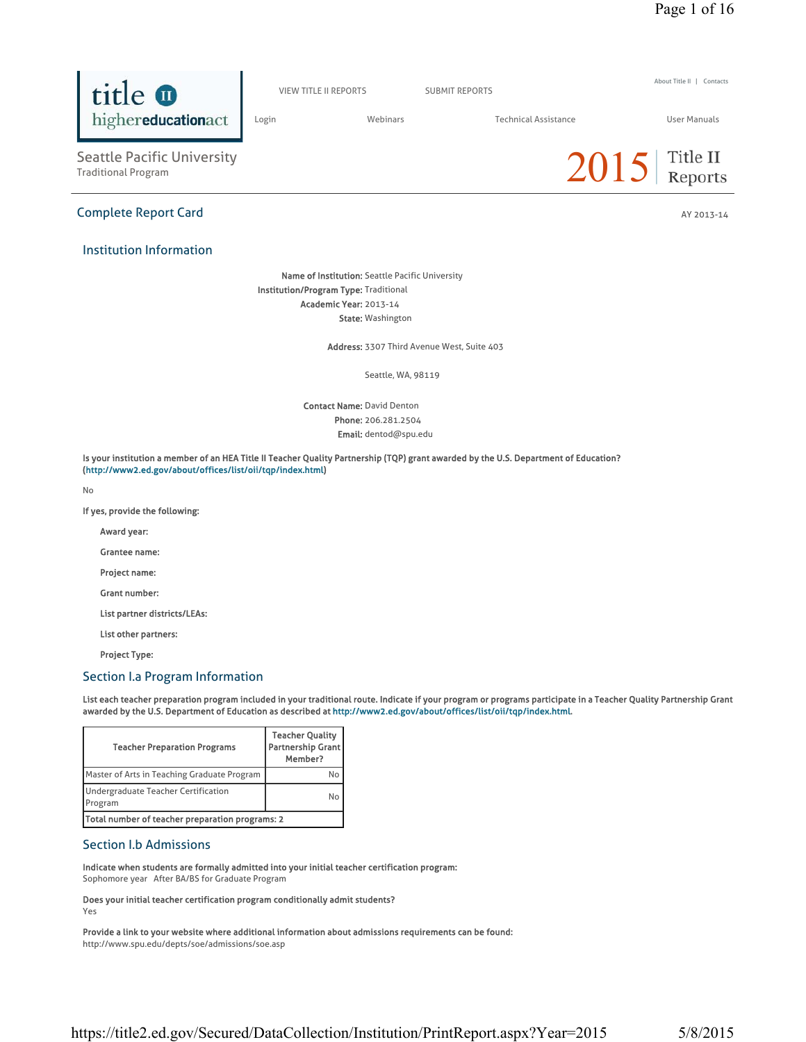

Contact Name: David Denton Phone: 206.281.2504 Email: dentod@spu.edu

Is your institution a member of an HEA Title II Teacher Quality Partnership (TQP) grant awarded by the U.S. Department of Education? (http://www2.ed.gov/about/offices/list/oii/tqp/index.html)

No

If yes, provide the following:

Award year:

Grantee name:

Project name:

Grant number:

List partner districts/LEAs:

List other partners:

Project Type:

## Section I.a Program Information

List each teacher preparation program included in your traditional route. Indicate if your program or programs participate in a Teacher Quality Partnership Grant awarded by the U.S. Department of Education as described at http://www2.ed.gov/about/offices/list/oii/tqp/index.html.

| <b>Teacher Preparation Programs</b>             | <b>Teacher Quality</b><br><b>Partnership Grant</b><br>Member? |  |
|-------------------------------------------------|---------------------------------------------------------------|--|
| Master of Arts in Teaching Graduate Program     |                                                               |  |
| Undergraduate Teacher Certification<br>Program  | Nο                                                            |  |
| Total number of teacher preparation programs: 2 |                                                               |  |

# Section I.b Admissions

Indicate when students are formally admitted into your initial teacher certification program: Sophomore year After BA/BS for Graduate Program

Does your initial teacher certification program conditionally admit students? Yes

Provide a link to your website where additional information about admissions requirements can be found: http://www.spu.edu/depts/soe/admissions/soe.asp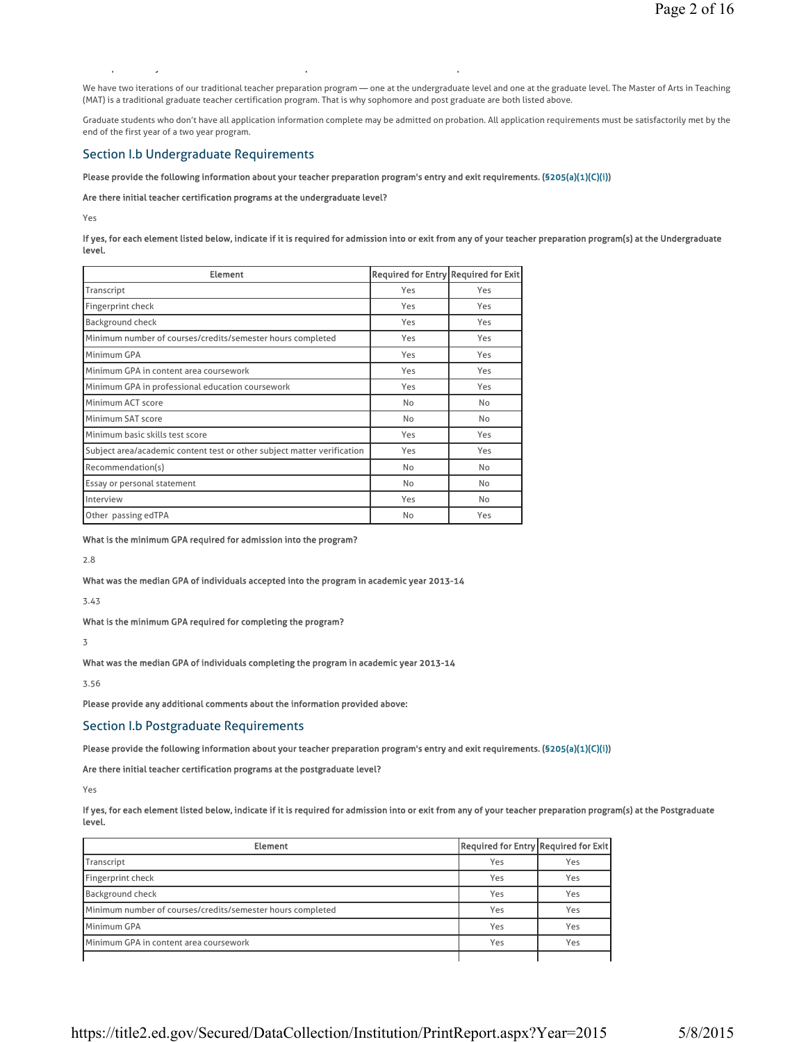We have two iterations of our traditional teacher preparation program — one at the undergraduate level and one at the graduate level. The Master of Arts in Teaching (MAT) is a traditional graduate teacher certification program. That is why sophomore and post graduate are both listed above.

Graduate students who don't have all application information complete may be admitted on probation. All application requirements must be satisfactorily met by the end of the first year of a two year program.

## Section I.b Undergraduate Requirements

#### Please provide the following information about your teacher preparation program's entry and exit requirements. (§205(a)(1)(C)(i))

#### Are there initial teacher certification programs at the undergraduate level?

py pyramid and pyramid and pyramid and pyramid and pyramid and pyramid and pyramid and pyramid and pyramid and

Yes

If yes, for each element listed below, indicate if it is required for admission into or exit from any of your teacher preparation program(s) at the Undergraduate level.

| <b>Element</b>                                                          | <b>Required for Entry Required for Exit</b> |     |
|-------------------------------------------------------------------------|---------------------------------------------|-----|
| Transcript                                                              | Yes                                         | Yes |
| Fingerprint check                                                       | Yes                                         | Yes |
| Background check                                                        | Yes                                         | Yes |
| Minimum number of courses/credits/semester hours completed              | Yes                                         | Yes |
| Minimum GPA                                                             | Yes                                         | Yes |
| Minimum GPA in content area coursework                                  | Yes                                         | Yes |
| Minimum GPA in professional education coursework                        | Yes                                         | Yes |
| Minimum ACT score                                                       | No                                          | No  |
| Minimum SAT score                                                       | No                                          | No  |
| Minimum basic skills test score                                         | Yes                                         | Yes |
| Subject area/academic content test or other subject matter verification | Yes                                         | Yes |
| Recommendation(s)                                                       | <b>No</b>                                   | No  |
| Essay or personal statement                                             | No                                          | No  |
| Interview                                                               | Yes                                         | No  |
| Other passing edTPA                                                     | No                                          | Yes |
|                                                                         |                                             |     |

What is the minimum GPA required for admission into the program?

2.8

What was the median GPA of individuals accepted into the program in academic year 2013-14

3.43

What is the minimum GPA required for completing the program?

3

What was the median GPA of individuals completing the program in academic year 2013-14

3.56

Please provide any additional comments about the information provided above:

Section I.b Postgraduate Requirements

Please provide the following information about your teacher preparation program's entry and exit requirements. (§205(a)(1)(C)(i))

Are there initial teacher certification programs at the postgraduate level?

Yes

If yes, for each element listed below, indicate if it is required for admission into or exit from any of your teacher preparation program(s) at the Postgraduate level.

| <b>Element</b>                                             | Required for Entry Required for Exit |     |
|------------------------------------------------------------|--------------------------------------|-----|
| Transcript                                                 | Yes                                  | Yes |
| Fingerprint check                                          | Yes                                  | Yes |
| <b>Background check</b>                                    | Yes                                  | Yes |
| Minimum number of courses/credits/semester hours completed | Yes                                  | Yes |
| Minimum GPA                                                | Yes                                  | Yes |
| Minimum GPA in content area coursework                     | Yes                                  | Yes |
|                                                            |                                      |     |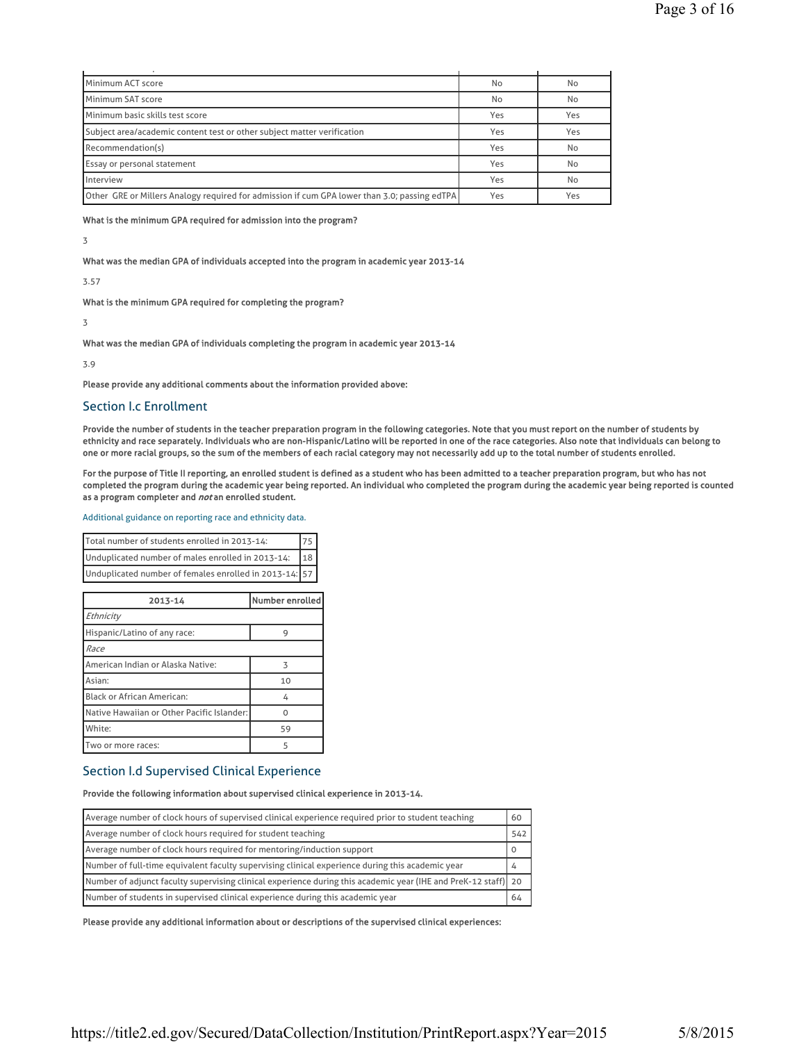| Minimum ACT score                                                                            | No  | No  |
|----------------------------------------------------------------------------------------------|-----|-----|
| Minimum SAT score                                                                            | No  | No  |
| Minimum basic skills test score                                                              | Yes | Yes |
| Subject area/academic content test or other subject matter verification                      | Yes | Yes |
| Recommendation(s)                                                                            | Yes | No  |
| Essay or personal statement                                                                  | Yes | No  |
| Interview                                                                                    | Yes | No  |
| Other GRE or Millers Analogy required for admission if cum GPA lower than 3.0; passing edTPA | Yes | Yes |

What is the minimum GPA required for admission into the program?

### 3

What was the median GPA of individuals accepted into the program in academic year 2013-14

## 3.57

What is the minimum GPA required for completing the program?

# 3

What was the median GPA of individuals completing the program in academic year 2013-14

3.9

Please provide any additional comments about the information provided above:

# Section I.c Enrollment

Provide the number of students in the teacher preparation program in the following categories. Note that you must report on the number of students by ethnicity and race separately. Individuals who are non-Hispanic/Latino will be reported in one of the race categories. Also note that individuals can belong to one or more racial groups, so the sum of the members of each racial category may not necessarily add up to the total number of students enrolled.

For the purpose of Title II reporting, an enrolled student is defined as a student who has been admitted to a teacher preparation program, but who has not completed the program during the academic year being reported. An individual who completed the program during the academic year being reported is counted as a program completer and not an enrolled student.

### Additional guidance on reporting race and ethnicity data.

| Total number of students enrolled in 2013-14:                        |  |
|----------------------------------------------------------------------|--|
| 18 <sup>1</sup><br>Unduplicated number of males enrolled in 2013-14: |  |
| Unduplicated number of females enrolled in 2013-14: 57               |  |

| 2013-14                                    | Number enrolled |  |
|--------------------------------------------|-----------------|--|
| Ethnicity                                  |                 |  |
| Hispanic/Latino of any race:               | 9               |  |
| Race                                       |                 |  |
| American Indian or Alaska Native:          | 3               |  |
| Asian:                                     | 10              |  |
| <b>Black or African American:</b>          | 4               |  |
| Native Hawaiian or Other Pacific Islander: |                 |  |
| White:                                     | 59              |  |
| Two or more races:                         | 5               |  |

# Section I.d Supervised Clinical Experience

# Provide the following information about supervised clinical experience in 2013-14.

| Average number of clock hours of supervised clinical experience required prior to student teaching              |     |  |
|-----------------------------------------------------------------------------------------------------------------|-----|--|
| Average number of clock hours required for student teaching                                                     | 542 |  |
| Average number of clock hours required for mentoring/induction support                                          |     |  |
| Number of full-time equivalent faculty supervising clinical experience during this academic year                |     |  |
| [Number of adjunct faculty supervising clinical experience during this academic year (IHE and PreK-12 staff) 20 |     |  |
| Number of students in supervised clinical experience during this academic year                                  | 64  |  |

Please provide any additional information about or descriptions of the supervised clinical experiences: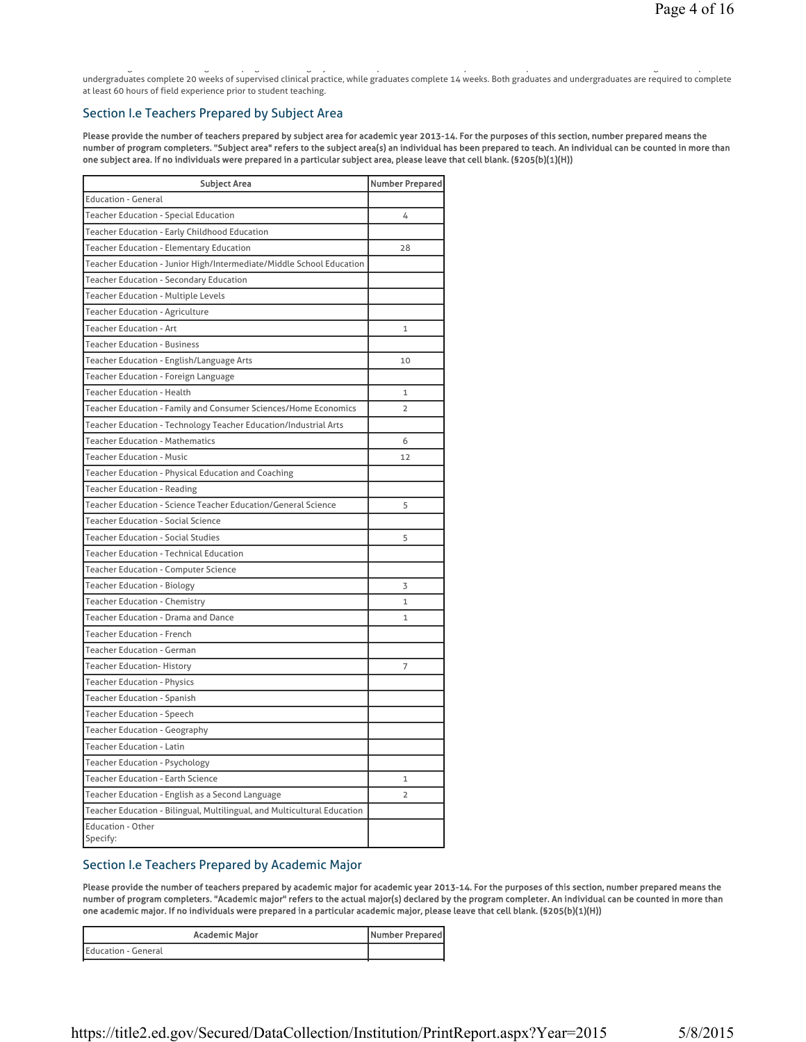g g pg g y q p p g p, undergraduates complete 20 weeks of supervised clinical practice, while graduates complete 14 weeks. Both graduates and undergraduates are required to complete at least 60 hours of field experience prior to student teaching.

# Section I.e Teachers Prepared by Subject Area

Please provide the number of teachers prepared by subject area for academic year 2013-14. For the purposes of this section, number prepared means the number of program completers. "Subject area" refers to the subject area(s) an individual has been prepared to teach. An individual can be counted in more than one subject area. If no individuals were prepared in a particular subject area, please leave that cell blank. (§205(b)(1)(H))

| <b>Subject Area</b>                                                      | <b>Number Prepared</b> |
|--------------------------------------------------------------------------|------------------------|
| <b>Education - General</b>                                               |                        |
| Teacher Education - Special Education                                    | 4                      |
| Teacher Education - Early Childhood Education                            |                        |
| Teacher Education - Elementary Education                                 | 28                     |
| Teacher Education - Junior High/Intermediate/Middle School Education     |                        |
| Teacher Education - Secondary Education                                  |                        |
| <b>Teacher Education - Multiple Levels</b>                               |                        |
| Teacher Education - Agriculture                                          |                        |
| Teacher Education - Art                                                  | 1                      |
| <b>Teacher Education - Business</b>                                      |                        |
| Teacher Education - English/Language Arts                                | 10                     |
| <b>Teacher Education - Foreign Language</b>                              |                        |
| <b>Teacher Education - Health</b>                                        | 1                      |
| Teacher Education - Family and Consumer Sciences/Home Economics          | 2                      |
| Teacher Education - Technology Teacher Education/Industrial Arts         |                        |
| <b>Teacher Education - Mathematics</b>                                   | 6                      |
| <b>Teacher Education - Music</b>                                         | 12                     |
| Teacher Education - Physical Education and Coaching                      |                        |
| <b>Teacher Education - Reading</b>                                       |                        |
| Teacher Education - Science Teacher Education/General Science            | 5                      |
| <b>Teacher Education - Social Science</b>                                |                        |
| <b>Teacher Education - Social Studies</b>                                | 5                      |
| <b>Teacher Education - Technical Education</b>                           |                        |
| <b>Teacher Education - Computer Science</b>                              |                        |
| Teacher Education - Biology                                              | 3                      |
| <b>Teacher Education - Chemistry</b>                                     | $\mathbf{1}$           |
| Teacher Education - Drama and Dance                                      | $\mathbf{1}$           |
| <b>Teacher Education - French</b>                                        |                        |
| <b>Teacher Education - German</b>                                        |                        |
| <b>Teacher Education- History</b>                                        | 7                      |
| <b>Teacher Education - Physics</b>                                       |                        |
| <b>Teacher Education - Spanish</b>                                       |                        |
| <b>Teacher Education - Speech</b>                                        |                        |
| <b>Teacher Education - Geography</b>                                     |                        |
| <b>Teacher Education - Latin</b>                                         |                        |
| <b>Teacher Education - Psychology</b>                                    |                        |
| <b>Teacher Education - Earth Science</b>                                 | 1                      |
| Teacher Education - English as a Second Language                         | $\overline{2}$         |
| Teacher Education - Bilingual, Multilingual, and Multicultural Education |                        |
| <b>Education - Other</b><br>Specify:                                     |                        |

# Section I.e Teachers Prepared by Academic Major

Please provide the number of teachers prepared by academic major for academic year 2013-14. For the purposes of this section, number prepared means the number of program completers. "Academic major" refers to the actual major(s) declared by the program completer. An individual can be counted in more than one academic major. If no individuals were prepared in a particular academic major, please leave that cell blank. (§205(b)(1)(H))

| <b>Academic Major</b> | Number Prepared |
|-----------------------|-----------------|
| Education - General   |                 |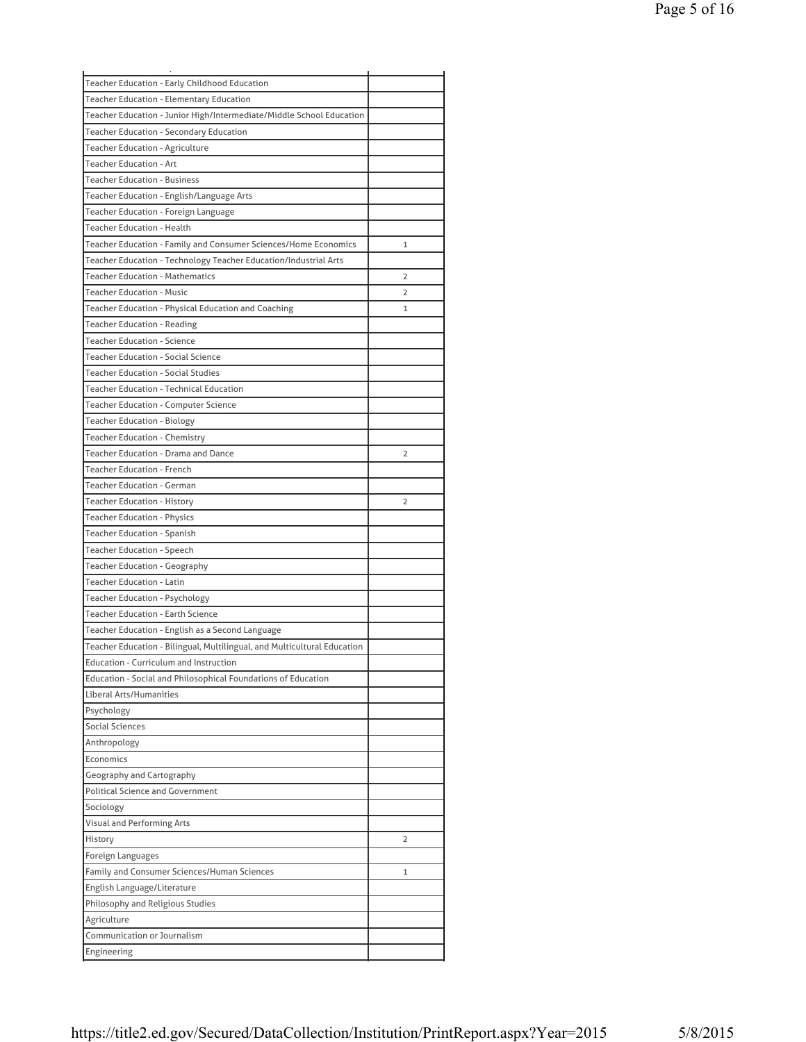| Teacher Education - Early Childhood Education                            |   |
|--------------------------------------------------------------------------|---|
| Teacher Education - Elementary Education                                 |   |
| Teacher Education - Junior High/Intermediate/Middle School Education     |   |
| Teacher Education - Secondary Education                                  |   |
| Teacher Education - Agriculture                                          |   |
| <b>Teacher Education - Art</b>                                           |   |
| <b>Teacher Education - Business</b>                                      |   |
| Teacher Education - English/Language Arts                                |   |
| Teacher Education - Foreign Language                                     |   |
| <b>Teacher Education - Health</b>                                        |   |
| Teacher Education - Family and Consumer Sciences/Home Economics          | 1 |
| Teacher Education - Technology Teacher Education/Industrial Arts         |   |
| <b>Teacher Education - Mathematics</b>                                   | 2 |
| <b>Teacher Education - Music</b>                                         | 2 |
| Teacher Education - Physical Education and Coaching                      | 1 |
| <b>Teacher Education - Reading</b>                                       |   |
| <b>Teacher Education - Science</b>                                       |   |
| <b>Teacher Education - Social Science</b>                                |   |
| <b>Teacher Education - Social Studies</b>                                |   |
| Teacher Education - Technical Education                                  |   |
| <b>Teacher Education - Computer Science</b>                              |   |
| <b>Teacher Education - Biology</b>                                       |   |
| <b>Teacher Education - Chemistry</b>                                     |   |
| Teacher Education - Drama and Dance                                      | 2 |
| <b>Teacher Education - French</b>                                        |   |
| <b>Teacher Education - German</b>                                        |   |
| <b>Teacher Education - History</b>                                       | 2 |
| <b>Teacher Education - Physics</b>                                       |   |
| Teacher Education - Spanish                                              |   |
| <b>Teacher Education - Speech</b>                                        |   |
| <b>Teacher Education - Geography</b>                                     |   |
| <b>Teacher Education - Latin</b>                                         |   |
| <b>Teacher Education - Psychology</b>                                    |   |
| <b>Teacher Education - Earth Science</b>                                 |   |
|                                                                          |   |
| Teacher Education - English as a Second Language                         |   |
| Teacher Education - Bilingual, Multilingual, and Multicultural Education |   |
| <b>Education - Curriculum and Instruction</b>                            |   |
| Education - Social and Philosophical Foundations of Education            |   |
| Liberal Arts/Humanities                                                  |   |
| Psychology                                                               |   |
| <b>Social Sciences</b>                                                   |   |
| Anthropology                                                             |   |
| Economics                                                                |   |
| Geography and Cartography                                                |   |
| <b>Political Science and Government</b>                                  |   |
| Sociology                                                                |   |
| Visual and Performing Arts                                               |   |
| History                                                                  | 2 |
| Foreign Languages                                                        |   |
| Family and Consumer Sciences/Human Sciences                              | 1 |
| English Language/Literature                                              |   |
| Philosophy and Religious Studies                                         |   |
| Agriculture                                                              |   |
| Communication or Journalism                                              |   |
| Engineering                                                              |   |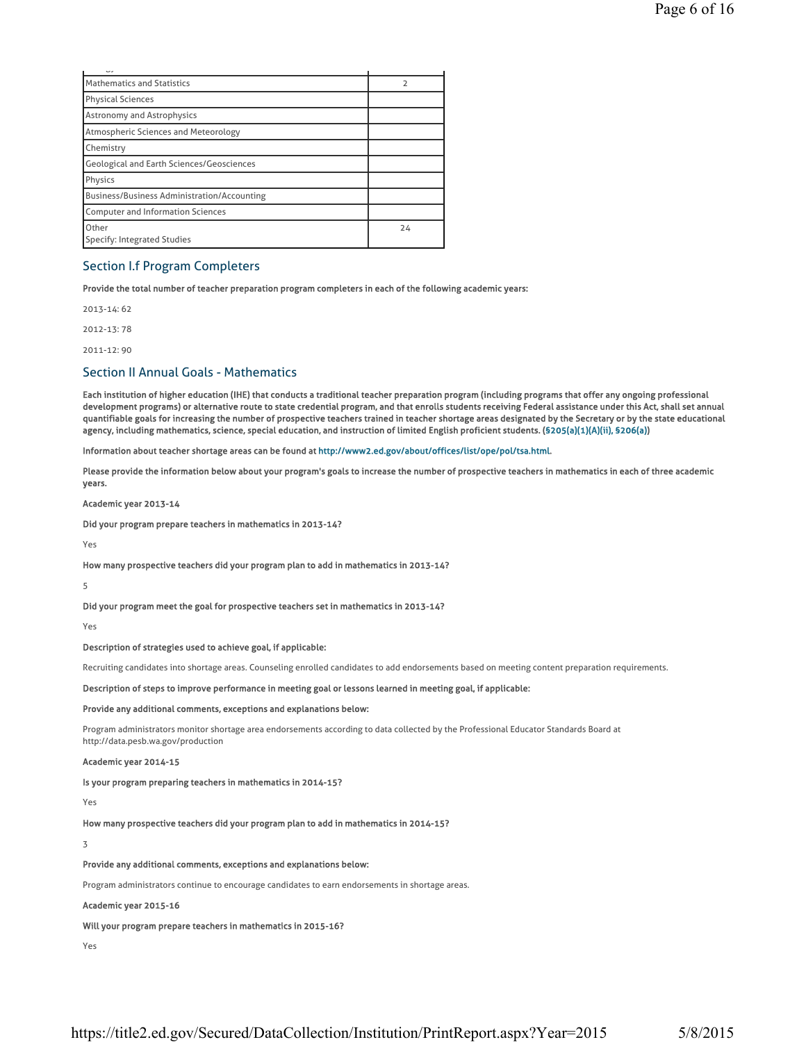| ر ب                                                |    |
|----------------------------------------------------|----|
| Mathematics and Statistics                         | 2  |
| Physical Sciences                                  |    |
| <b>Astronomy and Astrophysics</b>                  |    |
| Atmospheric Sciences and Meteorology               |    |
| Chemistry                                          |    |
| <b>Geological and Earth Sciences/Geosciences</b>   |    |
| Physics                                            |    |
| <b>Business/Business Administration/Accounting</b> |    |
| <b>Computer and Information Sciences</b>           |    |
| Other<br>Specify: Integrated Studies               | 24 |

# Section I.f Program Completers

Provide the total number of teacher preparation program completers in each of the following academic years:

2013-14: 62

2012-13: 78

2011-12: 90

# Section II Annual Goals - Mathematics

Each institution of higher education (IHE) that conducts a traditional teacher preparation program (including programs that offer any ongoing professional development programs) or alternative route to state credential program, and that enrolls students receiving Federal assistance under this Act, shall set annual quantifiable goals for increasing the number of prospective teachers trained in teacher shortage areas designated by the Secretary or by the state educational agency, including mathematics, science, special education, and instruction of limited English proficient students. (§205(a)(1)(A)(ii), §206(a))

Information about teacher shortage areas can be found at http://www2.ed.gov/about/offices/list/ope/pol/tsa.html.

Please provide the information below about your program's goals to increase the number of prospective teachers in mathematics in each of three academic years.

Academic year 2013-14

Did your program prepare teachers in mathematics in 2013-14?

Yes

How many prospective teachers did your program plan to add in mathematics in 2013-14?

5

Did your program meet the goal for prospective teachers set in mathematics in 2013-14?

Yes

Description of strategies used to achieve goal, if applicable:

Recruiting candidates into shortage areas. Counseling enrolled candidates to add endorsements based on meeting content preparation requirements.

Description of steps to improve performance in meeting goal or lessons learned in meeting goal, if applicable:

Provide any additional comments, exceptions and explanations below:

Program administrators monitor shortage area endorsements according to data collected by the Professional Educator Standards Board at http://data.pesb.wa.gov/production

#### Academic year 2014-15

Is your program preparing teachers in mathematics in 2014-15?

Yes

How many prospective teachers did your program plan to add in mathematics in 2014-15?

3

Provide any additional comments, exceptions and explanations below:

Program administrators continue to encourage candidates to earn endorsements in shortage areas.

## Academic year 2015-16

## Will your program prepare teachers in mathematics in 2015-16?

Yes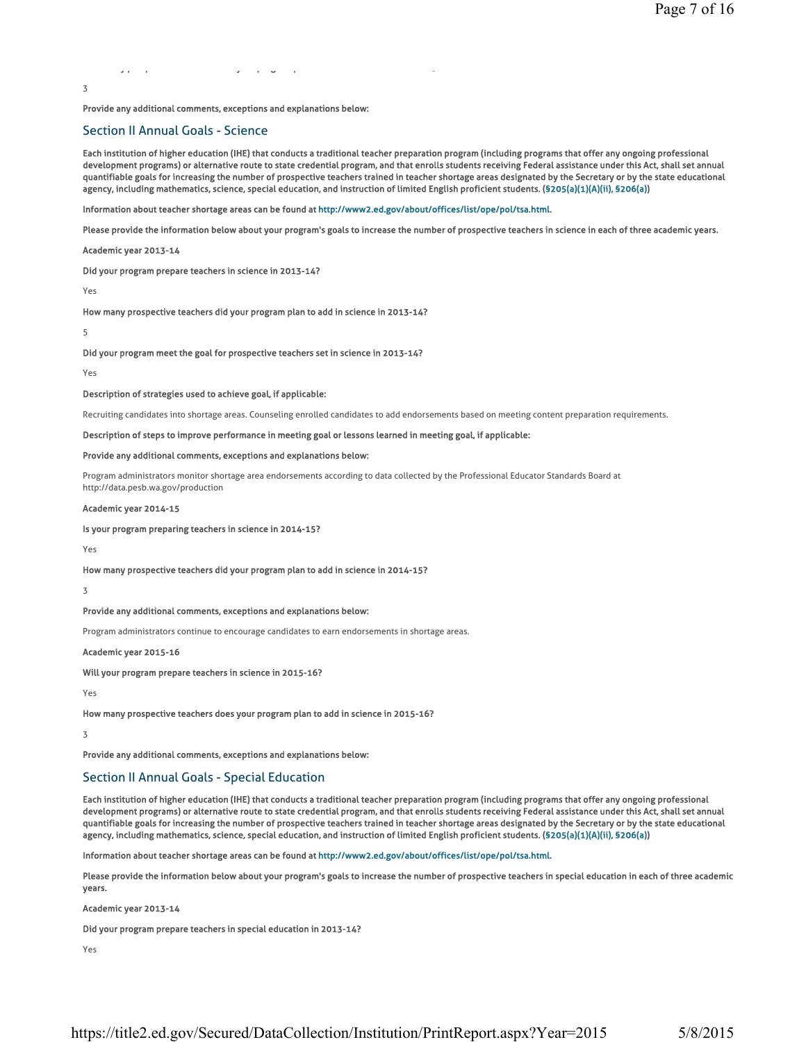yp p y p y p g p y p y p g p s y p y g p y g p y g p y g p y g p y g p y g p y g p y g p y g p y g p y g p y g

Provide any additional comments, exceptions and explanations below:

# Section II Annual Goals - Science

Each institution of higher education (IHE) that conducts a traditional teacher preparation program (including programs that offer any ongoing professional development programs) or alternative route to state credential program, and that enrolls students receiving Federal assistance under this Act, shall set annual quantifiable goals for increasing the number of prospective teachers trained in teacher shortage areas designated by the Secretary or by the state educational agency, including mathematics, science, special education, and instruction of limited English proficient students. (§205(a)(1)(A)(ii), §206(a))

Information about teacher shortage areas can be found at http://www2.ed.gov/about/offices/list/ope/pol/tsa.html.

Please provide the information below about your program's goals to increase the number of prospective teachers in science in each of three academic years.

Academic year 2013-14

Did your program prepare teachers in science in 2013-14?

Yes

3

How many prospective teachers did your program plan to add in science in 2013-14?

5

Did your program meet the goal for prospective teachers set in science in 2013-14?

Yes

#### Description of strategies used to achieve goal, if applicable:

Recruiting candidates into shortage areas. Counseling enrolled candidates to add endorsements based on meeting content preparation requirements.

## Description of steps to improve performance in meeting goal or lessons learned in meeting goal, if applicable:

#### Provide any additional comments, exceptions and explanations below:

Program administrators monitor shortage area endorsements according to data collected by the Professional Educator Standards Board at

http://data.pesb.wa.gov/production

# Academic year 2014-15

#### Is your program preparing teachers in science in 2014-15?

Yes

How many prospective teachers did your program plan to add in science in 2014-15?

#### 3

#### Provide any additional comments, exceptions and explanations below:

Program administrators continue to encourage candidates to earn endorsements in shortage areas.

Academic year 2015-16

Will your program prepare teachers in science in 2015-16?

Yes

How many prospective teachers does your program plan to add in science in 2015-16?

3

Provide any additional comments, exceptions and explanations below:

# Section II Annual Goals - Special Education

Each institution of higher education (IHE) that conducts a traditional teacher preparation program (including programs that offer any ongoing professional development programs) or alternative route to state credential program, and that enrolls students receiving Federal assistance under this Act, shall set annual quantifiable goals for increasing the number of prospective teachers trained in teacher shortage areas designated by the Secretary or by the state educational agency, including mathematics, science, special education, and instruction of limited English proficient students. (§205(a)(1)(A)(ii), §206(a))

Information about teacher shortage areas can be found at http://www2.ed.gov/about/offices/list/ope/pol/tsa.html.

Please provide the information below about your program's goals to increase the number of prospective teachers in special education in each of three academic years.

Academic year 2013-14

Did your program prepare teachers in special education in 2013-14?

Yes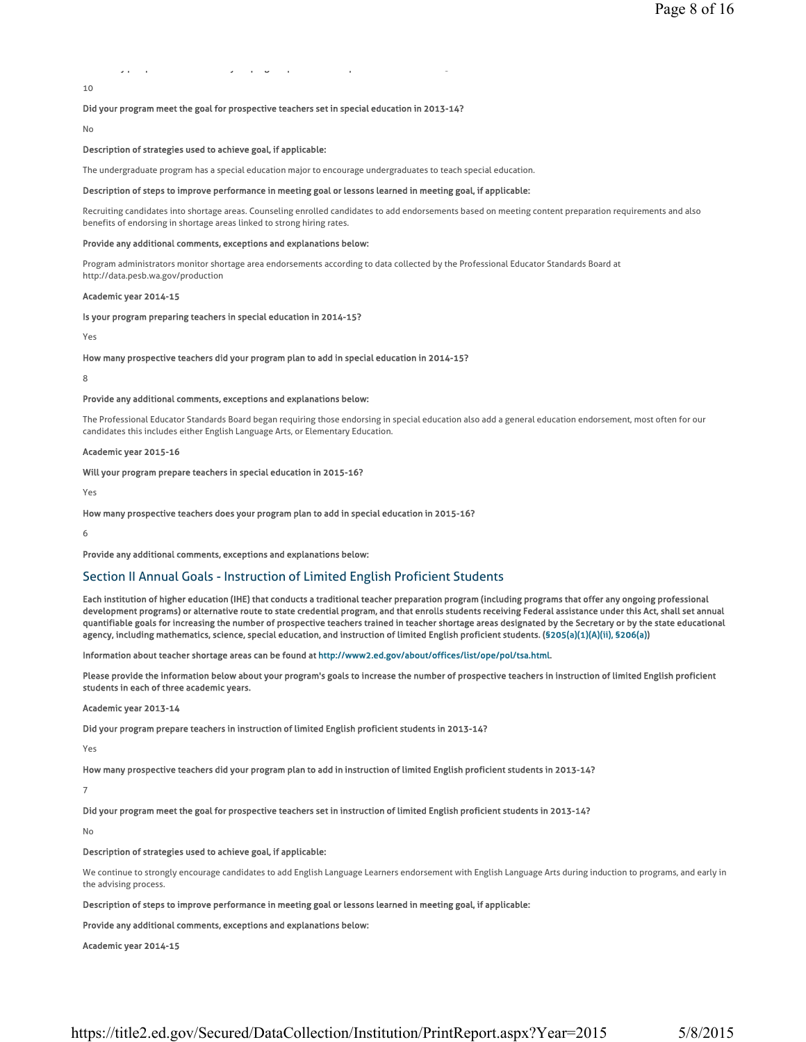# yp p y p y p s y p s y p s y p s y p 3 y p 3 y p 3 y p 3 y p 3 y p 3 y p 3 y p 3 y p 3 y p 3 y p 3 y p 3 y p 3

10

## Did your program meet the goal for prospective teachers set in special education in 2013-14?

No

#### Description of strategies used to achieve goal, if applicable:

The undergraduate program has a special education major to encourage undergraduates to teach special education.

#### Description of steps to improve performance in meeting goal or lessons learned in meeting goal, if applicable:

Recruiting candidates into shortage areas. Counseling enrolled candidates to add endorsements based on meeting content preparation requirements and also benefits of endorsing in shortage areas linked to strong hiring rates.

#### Provide any additional comments, exceptions and explanations below:

Program administrators monitor shortage area endorsements according to data collected by the Professional Educator Standards Board at http://data.pesb.wa.gov/production

#### Academic year 2014-15

### Is your program preparing teachers in special education in 2014-15?

Yes

#### How many prospective teachers did your program plan to add in special education in 2014-15?

8

#### Provide any additional comments, exceptions and explanations below:

The Professional Educator Standards Board began requiring those endorsing in special education also add a general education endorsement, most often for our candidates this includes either English Language Arts, or Elementary Education.

#### Academic year 2015-16

### Will your program prepare teachers in special education in 2015-16?

Yes

How many prospective teachers does your program plan to add in special education in 2015-16?

6

Provide any additional comments, exceptions and explanations below:

## Section II Annual Goals - Instruction of Limited English Proficient Students

Each institution of higher education (IHE) that conducts a traditional teacher preparation program (including programs that offer any ongoing professional development programs) or alternative route to state credential program, and that enrolls students receiving Federal assistance under this Act, shall set annual quantifiable goals for increasing the number of prospective teachers trained in teacher shortage areas designated by the Secretary or by the state educational agency, including mathematics, science, special education, and instruction of limited English proficient students. (§205(a)(1)(A)(ii), §206(a))

Information about teacher shortage areas can be found at http://www2.ed.gov/about/offices/list/ope/pol/tsa.html.

Please provide the information below about your program's goals to increase the number of prospective teachers in instruction of limited English proficient students in each of three academic years.

#### Academic year 2013-14

Did your program prepare teachers in instruction of limited English proficient students in 2013-14?

Yes

How many prospective teachers did your program plan to add in instruction of limited English proficient students in 2013-14?

## 7

Did your program meet the goal for prospective teachers set in instruction of limited English proficient students in 2013-14?

No

# Description of strategies used to achieve goal, if applicable:

We continue to strongly encourage candidates to add English Language Learners endorsement with English Language Arts during induction to programs, and early in the advising process.

Description of steps to improve performance in meeting goal or lessons learned in meeting goal, if applicable:

Provide any additional comments, exceptions and explanations below:

Academic year 2014-15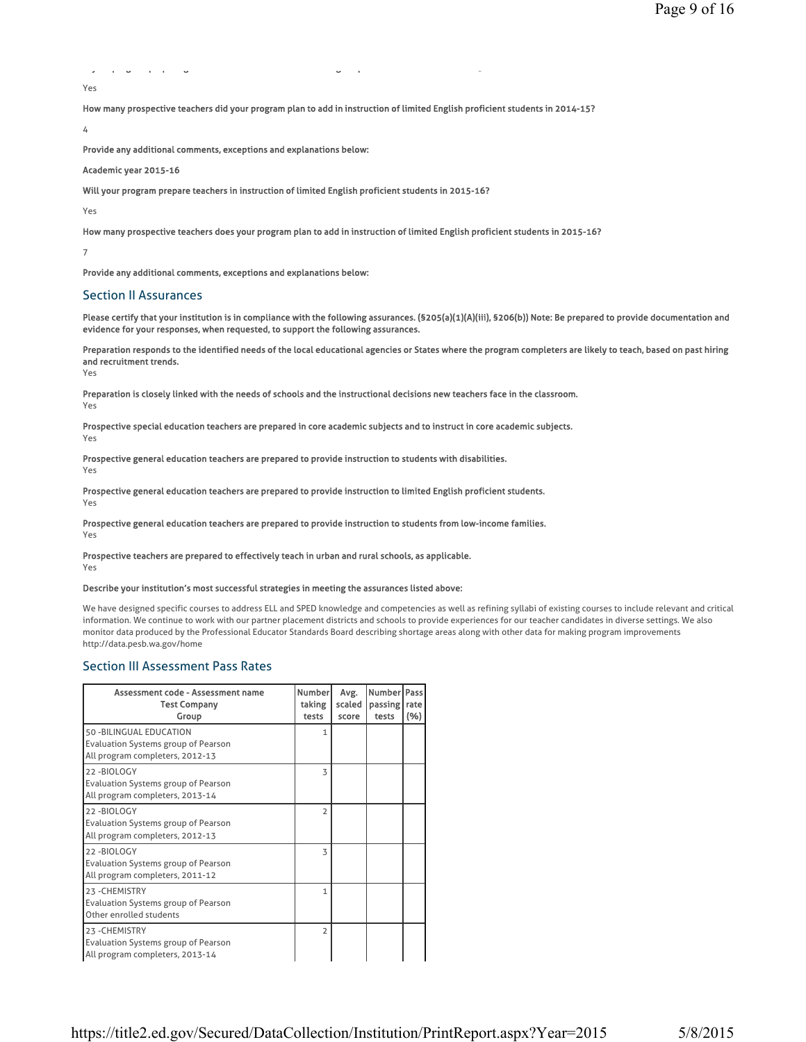```
y pg pp g g p 5
Yes
```
How many prospective teachers did your program plan to add in instruction of limited English proficient students in 2014-15?

4

Provide any additional comments, exceptions and explanations below:

#### Academic year 2015-16

Will your program prepare teachers in instruction of limited English proficient students in 2015-16?

Yes

How many prospective teachers does your program plan to add in instruction of limited English proficient students in 2015-16?

7

Provide any additional comments, exceptions and explanations below:

# Section II Assurances

Please certify that your institution is in compliance with the following assurances. (§205(a)(1)(A)(iii), §206(b)) Note: Be prepared to provide documentation and evidence for your responses, when requested, to support the following assurances.

Preparation responds to the identified needs of the local educational agencies or States where the program completers are likely to teach, based on past hiring and recruitment trends.

Yes

Preparation is closely linked with the needs of schools and the instructional decisions new teachers face in the classroom. Yes

Prospective special education teachers are prepared in core academic subjects and to instruct in core academic subjects. Yes

Prospective general education teachers are prepared to provide instruction to students with disabilities.

Yes

Prospective general education teachers are prepared to provide instruction to limited English proficient students. Yes

Prospective general education teachers are prepared to provide instruction to students from low-income families.

Yes

Prospective teachers are prepared to effectively teach in urban and rural schools, as applicable. Yes

## Describe your institution's most successful strategies in meeting the assurances listed above:

We have designed specific courses to address ELL and SPED knowledge and competencies as well as refining syllabi of existing courses to include relevant and critical information. We continue to work with our partner placement districts and schools to provide experiences for our teacher candidates in diverse settings. We also monitor data produced by the Professional Educator Standards Board describing shortage areas along with other data for making program improvements http://data.pesb.wa.gov/home

# Section III Assessment Pass Rates

| Assessment code - Assessment name<br><b>Test Company</b><br>Group                                         | <b>Number</b><br>taking<br>tests | Avg.<br>scaled<br>score | Number   Pass<br>passing   rate<br>tests | (%) |
|-----------------------------------------------------------------------------------------------------------|----------------------------------|-------------------------|------------------------------------------|-----|
| 50 - BILINGUAL EDUCATION<br><b>Evaluation Systems group of Pearson</b><br>All program completers, 2012-13 | 1                                |                         |                                          |     |
| 22-BIOLOGY<br>Evaluation Systems group of Pearson<br>All program completers, 2013-14                      | 3                                |                         |                                          |     |
| 22-BIOLOGY<br><b>Evaluation Systems group of Pearson</b><br>All program completers, 2012-13               | $\overline{2}$                   |                         |                                          |     |
| 22-BIOLOGY<br><b>Evaluation Systems group of Pearson</b><br>All program completers, 2011-12               | 3                                |                         |                                          |     |
| 23-CHEMISTRY<br><b>Evaluation Systems group of Pearson</b><br>Other enrolled students                     | 1                                |                         |                                          |     |
| 23-CHEMISTRY<br><b>Evaluation Systems group of Pearson</b><br>All program completers, 2013-14             | $\overline{2}$                   |                         |                                          |     |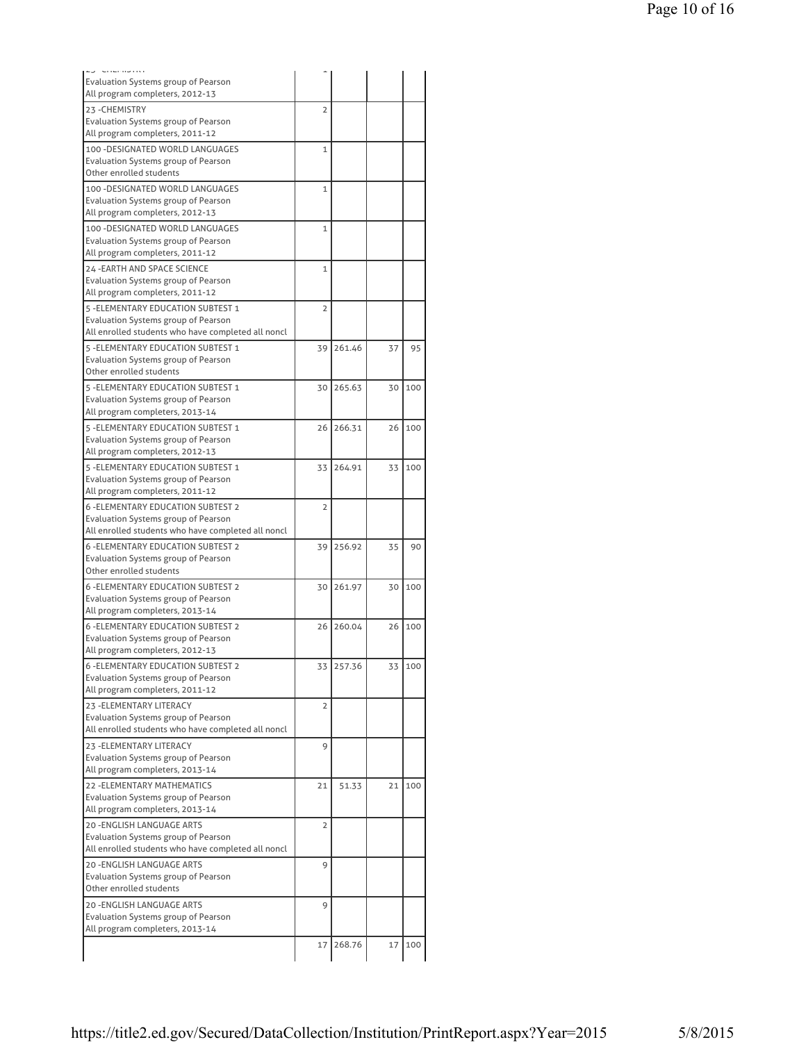| Evaluation Systems group of Pearson                                              |                |        |    |     |
|----------------------------------------------------------------------------------|----------------|--------|----|-----|
| All program completers, 2012-13                                                  |                |        |    |     |
| 23-CHEMISTRY                                                                     | $\overline{2}$ |        |    |     |
| Evaluation Systems group of Pearson                                              |                |        |    |     |
| All program completers, 2011-12                                                  |                |        |    |     |
| 100 - DESIGNATED WORLD LANGUAGES                                                 | $\mathbf{1}$   |        |    |     |
| Evaluation Systems group of Pearson<br>Other enrolled students                   |                |        |    |     |
|                                                                                  |                |        |    |     |
| 100 - DESIGNATED WORLD LANGUAGES<br><b>Evaluation Systems group of Pearson</b>   | 1              |        |    |     |
| All program completers, 2012-13                                                  |                |        |    |     |
| 100 - DESIGNATED WORLD LANGUAGES                                                 | 1              |        |    |     |
| Evaluation Systems group of Pearson                                              |                |        |    |     |
| All program completers, 2011-12                                                  |                |        |    |     |
| 24 - EARTH AND SPACE SCIENCE                                                     | 1              |        |    |     |
| Evaluation Systems group of Pearson                                              |                |        |    |     |
| All program completers, 2011-12                                                  |                |        |    |     |
| 5 - ELEMENTARY EDUCATION SUBTEST 1                                               | $\overline{2}$ |        |    |     |
| Evaluation Systems group of Pearson                                              |                |        |    |     |
| All enrolled students who have completed all noncl                               |                |        |    |     |
| 5 - ELEMENTARY EDUCATION SUBTEST 1                                               | 39             | 261.46 | 37 | 95  |
| Evaluation Systems group of Pearson                                              |                |        |    |     |
| Other enrolled students                                                          |                |        |    |     |
| 5 - ELEMENTARY EDUCATION SUBTEST 1                                               | 30             | 265.63 | 30 | 100 |
| <b>Evaluation Systems group of Pearson</b>                                       |                |        |    |     |
| All program completers, 2013-14                                                  |                |        |    |     |
| 5 - ELEMENTARY EDUCATION SUBTEST 1                                               | 26             | 266.31 | 26 | 100 |
| Evaluation Systems group of Pearson                                              |                |        |    |     |
| All program completers, 2012-13                                                  |                |        |    |     |
| 5 - ELEMENTARY EDUCATION SUBTEST 1                                               | 33             | 264.91 | 33 | 100 |
| Evaluation Systems group of Pearson                                              |                |        |    |     |
| All program completers, 2011-12                                                  |                |        |    |     |
| <b>6 - ELEMENTARY EDUCATION SUBTEST 2</b>                                        | 2              |        |    |     |
| Evaluation Systems group of Pearson                                              |                |        |    |     |
| All enrolled students who have completed all noncl                               |                |        |    |     |
| <b>6 - ELEMENTARY EDUCATION SUBTEST 2</b>                                        | 39             | 256.92 | 35 | 90  |
| Evaluation Systems group of Pearson<br>Other enrolled students                   |                |        |    |     |
|                                                                                  |                |        |    |     |
| <b>6 - ELEMENTARY EDUCATION SUBTEST 2</b><br>Evaluation Systems group of Pearson | 30             | 261.97 | 30 | 100 |
| All program completers, 2013-14                                                  |                |        |    |     |
| <b>6 - ELEMENTARY EDUCATION SUBTEST 2</b>                                        | 26             | 260.04 | 26 | 100 |
| Evaluation Systems group of Pearson                                              |                |        |    |     |
| All program completers, 2012-13                                                  |                |        |    |     |
| <b>6 - ELEMENTARY EDUCATION SUBTEST 2</b>                                        | 33             | 257.36 | 33 | 100 |
| Evaluation Systems group of Pearson                                              |                |        |    |     |
| All program completers, 2011-12                                                  |                |        |    |     |
| 23 - ELEMENTARY LITERACY                                                         | 2              |        |    |     |
| Evaluation Systems group of Pearson                                              |                |        |    |     |
| All enrolled students who have completed all noncl                               |                |        |    |     |
| 23 - ELEMENTARY LITERACY                                                         | 9              |        |    |     |
| Evaluation Systems group of Pearson                                              |                |        |    |     |
| All program completers, 2013-14                                                  |                |        |    |     |
| <b>22 - ELEMENTARY MATHEMATICS</b>                                               | 21             | 51.33  | 21 | 100 |
| Evaluation Systems group of Pearson                                              |                |        |    |     |
| All program completers, 2013-14                                                  |                |        |    |     |
| 20 - ENGLISH LANGUAGE ARTS                                                       | 2              |        |    |     |
| Evaluation Systems group of Pearson                                              |                |        |    |     |
| All enrolled students who have completed all noncl                               |                |        |    |     |
| <b>20 -ENGLISH LANGUAGE ARTS</b>                                                 | 9              |        |    |     |
| Evaluation Systems group of Pearson                                              |                |        |    |     |
| Other enrolled students                                                          |                |        |    |     |
| <b>20 -ENGLISH LANGUAGE ARTS</b>                                                 | 9              |        |    |     |
| Evaluation Systems group of Pearson                                              |                |        |    |     |
| All program completers, 2013-14                                                  |                |        |    |     |
|                                                                                  | 17             | 268.76 | 17 | 100 |
|                                                                                  |                |        |    |     |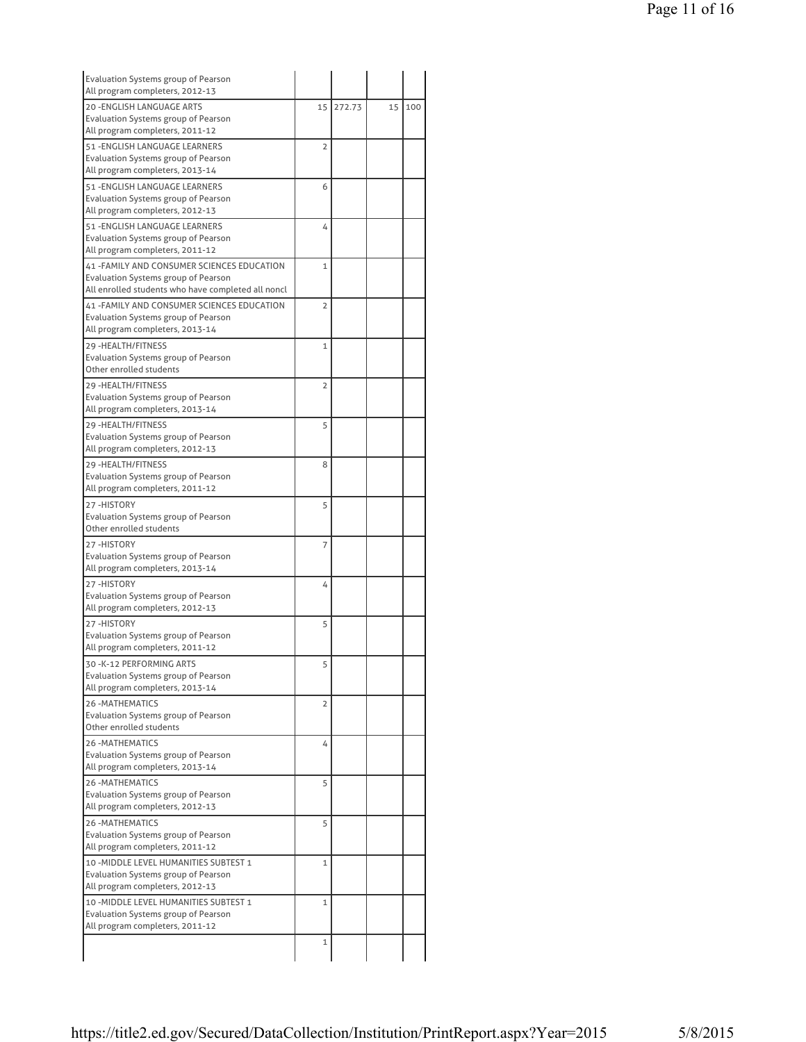| Evaluation Systems group of Pearson<br>All program completers, 2012-13        |                |        |    |     |
|-------------------------------------------------------------------------------|----------------|--------|----|-----|
| <b>20 -ENGLISH LANGUAGE ARTS</b>                                              | 15             | 272.73 | 15 | 100 |
| <b>Evaluation Systems group of Pearson</b>                                    |                |        |    |     |
| All program completers, 2011-12                                               |                |        |    |     |
| 51 - ENGLISH LANGUAGE LEARNERS                                                | 2              |        |    |     |
| Evaluation Systems group of Pearson                                           |                |        |    |     |
| All program completers, 2013-14                                               |                |        |    |     |
| 51 - ENGLISH LANGUAGE LEARNERS                                                | 6              |        |    |     |
| Evaluation Systems group of Pearson                                           |                |        |    |     |
| All program completers, 2012-13                                               |                |        |    |     |
| 51 - ENGLISH LANGUAGE LEARNERS<br><b>Evaluation Systems group of Pearson</b>  | 4              |        |    |     |
| All program completers, 2011-12                                               |                |        |    |     |
| 41 - FAMILY AND CONSUMER SCIENCES EDUCATION                                   | $\mathbf{1}$   |        |    |     |
| Evaluation Systems group of Pearson                                           |                |        |    |     |
| All enrolled students who have completed all noncl                            |                |        |    |     |
| 41 - FAMILY AND CONSUMER SCIENCES EDUCATION                                   | $\overline{2}$ |        |    |     |
| Evaluation Systems group of Pearson                                           |                |        |    |     |
| All program completers, 2013-14                                               |                |        |    |     |
| 29 - HEALTH/FITNESS                                                           | 1              |        |    |     |
| Evaluation Systems group of Pearson                                           |                |        |    |     |
| Other enrolled students                                                       |                |        |    |     |
| 29 - HEALTH/FITNESS                                                           | 2              |        |    |     |
| <b>Evaluation Systems group of Pearson</b><br>All program completers, 2013-14 |                |        |    |     |
|                                                                               |                |        |    |     |
| 29 - HEALTH/FITNESS<br><b>Evaluation Systems group of Pearson</b>             | 5              |        |    |     |
| All program completers, 2012-13                                               |                |        |    |     |
| 29 - HEALTH/FITNESS                                                           | 8              |        |    |     |
| Evaluation Systems group of Pearson                                           |                |        |    |     |
| All program completers, 2011-12                                               |                |        |    |     |
| 27-HISTORY                                                                    | 5              |        |    |     |
| <b>Evaluation Systems group of Pearson</b>                                    |                |        |    |     |
| Other enrolled students                                                       |                |        |    |     |
| 27-HISTORY                                                                    | 7              |        |    |     |
| Evaluation Systems group of Pearson                                           |                |        |    |     |
| All program completers, 2013-14                                               |                |        |    |     |
| 27-HISTORY                                                                    | 4              |        |    |     |
| Evaluation Systems group of Pearson<br>All program completers, 2012-13        |                |        |    |     |
| 27-HISTORY                                                                    | 5              |        |    |     |
| Evaluation Systems group of Pearson                                           |                |        |    |     |
| All program completers, 2011-12                                               |                |        |    |     |
| 30 -K-12 PERFORMING ARTS                                                      | 5              |        |    |     |
| Evaluation Systems group of Pearson                                           |                |        |    |     |
| All program completers, 2013-14                                               |                |        |    |     |
| <b>26-MATHEMATICS</b>                                                         | $\overline{2}$ |        |    |     |
| <b>Evaluation Systems group of Pearson</b>                                    |                |        |    |     |
| Other enrolled students                                                       |                |        |    |     |
| <b>26 - MATHEMATICS</b>                                                       | 4              |        |    |     |
| Evaluation Systems group of Pearson<br>All program completers, 2013-14        |                |        |    |     |
| <b>26-MATHEMATICS</b>                                                         |                |        |    |     |
| Evaluation Systems group of Pearson                                           | 5              |        |    |     |
| All program completers, 2012-13                                               |                |        |    |     |
| <b>26-MATHEMATICS</b>                                                         | 5              |        |    |     |
| Evaluation Systems group of Pearson                                           |                |        |    |     |
| All program completers, 2011-12                                               |                |        |    |     |
| 10 - MIDDLE LEVEL HUMANITIES SUBTEST 1                                        | 1              |        |    |     |
| Evaluation Systems group of Pearson                                           |                |        |    |     |
|                                                                               |                |        |    |     |
| All program completers, 2012-13                                               |                |        |    |     |
| 10 - MIDDLE LEVEL HUMANITIES SUBTEST 1                                        | 1              |        |    |     |
| Evaluation Systems group of Pearson                                           |                |        |    |     |
| All program completers, 2011-12                                               | $\mathbf{1}$   |        |    |     |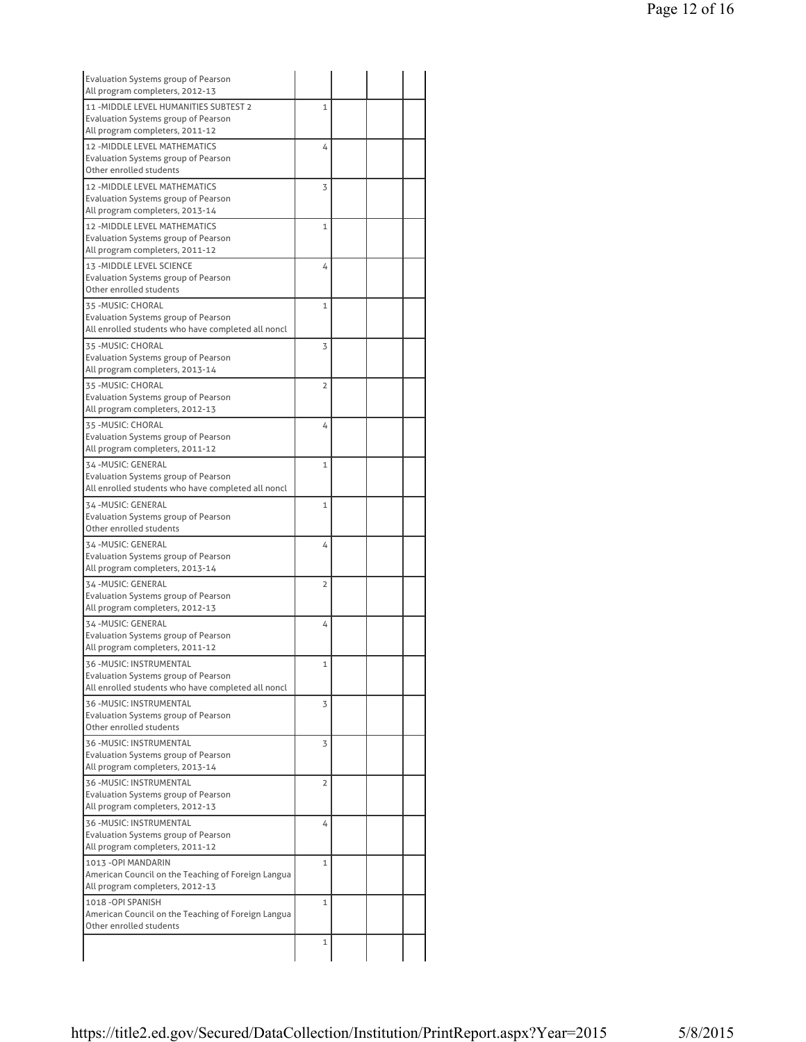| <b>Evaluation Systems group of Pearson</b><br>All program completers, 2012-13 |                |  |  |
|-------------------------------------------------------------------------------|----------------|--|--|
| 11 - MIDDLE LEVEL HUMANITIES SUBTEST 2                                        | $\mathbf{1}$   |  |  |
| <b>Evaluation Systems group of Pearson</b>                                    |                |  |  |
| All program completers, 2011-12                                               |                |  |  |
| 12 - MIDDLE LEVEL MATHEMATICS                                                 | 4              |  |  |
| Evaluation Systems group of Pearson                                           |                |  |  |
| Other enrolled students                                                       |                |  |  |
| 12 - MIDDLE LEVEL MATHEMATICS                                                 | 3              |  |  |
| Evaluation Systems group of Pearson                                           |                |  |  |
| All program completers, 2013-14                                               |                |  |  |
| 12 - MIDDLE LEVEL MATHEMATICS                                                 | $\mathbf{1}$   |  |  |
| <b>Evaluation Systems group of Pearson</b>                                    |                |  |  |
| All program completers, 2011-12                                               |                |  |  |
| 13 - MIDDLE LEVEL SCIENCE                                                     | 4              |  |  |
| Evaluation Systems group of Pearson                                           |                |  |  |
| Other enrolled students                                                       |                |  |  |
| 35 - MUSIC: CHORAL                                                            | $\mathbf{1}$   |  |  |
| Evaluation Systems group of Pearson                                           |                |  |  |
| All enrolled students who have completed all noncl                            |                |  |  |
| 35-MUSIC: CHORAL                                                              | 3              |  |  |
| Evaluation Systems group of Pearson                                           |                |  |  |
| All program completers, 2013-14                                               |                |  |  |
| 35 - MUSIC: CHORAL                                                            | 2              |  |  |
| Evaluation Systems group of Pearson                                           |                |  |  |
| All program completers, 2012-13                                               |                |  |  |
| 35 - MUSIC: CHORAL                                                            | 4              |  |  |
| <b>Evaluation Systems group of Pearson</b>                                    |                |  |  |
| All program completers, 2011-12                                               |                |  |  |
| 34-MUSIC: GENERAL                                                             | $\mathbf{1}$   |  |  |
| Evaluation Systems group of Pearson                                           |                |  |  |
| All enrolled students who have completed all noncl                            |                |  |  |
| 34-MUSIC: GENERAL                                                             | $\mathbf{1}$   |  |  |
| Evaluation Systems group of Pearson                                           |                |  |  |
| Other enrolled students                                                       |                |  |  |
| 34-MUSIC: GENERAL                                                             | 4              |  |  |
| Evaluation Systems group of Pearson                                           |                |  |  |
| All program completers, 2013-14                                               |                |  |  |
| 34-MUSIC: GENERAL                                                             | $\overline{2}$ |  |  |
| Evaluation Systems group of Pearson                                           |                |  |  |
| All program completers, 2012-13                                               |                |  |  |
| 34-MUSIC: GENERAL                                                             |                |  |  |
| Evaluation Systems group of Pearson                                           | 4              |  |  |
| All program completers, 2011-12                                               |                |  |  |
|                                                                               |                |  |  |
| 36 - MUSIC: INSTRUMENTAL<br>Evaluation Systems group of Pearson               | 1              |  |  |
| All enrolled students who have completed all noncl                            |                |  |  |
| 36 - MUSIC: INSTRUMENTAL                                                      | 3              |  |  |
| <b>Evaluation Systems group of Pearson</b>                                    |                |  |  |
| Other enrolled students                                                       |                |  |  |
| 36 - MUSIC: INSTRUMENTAL                                                      | 3              |  |  |
| Evaluation Systems group of Pearson                                           |                |  |  |
| All program completers, 2013-14                                               |                |  |  |
| 36 - MUSIC: INSTRUMENTAL                                                      | 2              |  |  |
| Evaluation Systems group of Pearson                                           |                |  |  |
| All program completers, 2012-13                                               |                |  |  |
| 36 - MUSIC: INSTRUMENTAL                                                      | 4              |  |  |
| Evaluation Systems group of Pearson                                           |                |  |  |
| All program completers, 2011-12                                               |                |  |  |
| 1013 - OPI MANDARIN                                                           | 1              |  |  |
| American Council on the Teaching of Foreign Langua                            |                |  |  |
| All program completers, 2012-13                                               |                |  |  |
| 1018 - OPI SPANISH                                                            | 1              |  |  |
| American Council on the Teaching of Foreign Langua                            |                |  |  |
| Other enrolled students                                                       |                |  |  |
|                                                                               | $\mathbf{1}$   |  |  |
|                                                                               |                |  |  |
|                                                                               |                |  |  |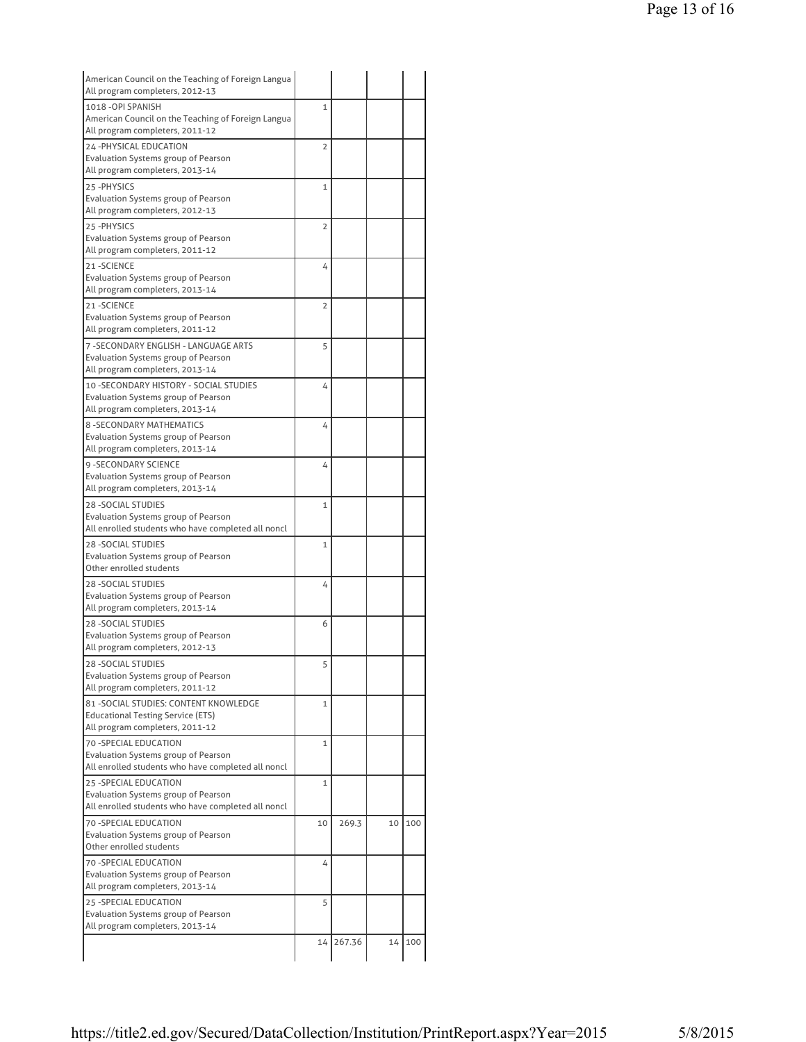| American Council on the Teaching of Foreign Langua                       |                |        |    |     |
|--------------------------------------------------------------------------|----------------|--------|----|-----|
| All program completers, 2012-13                                          |                |        |    |     |
| 1018 - OPI SPANISH<br>American Council on the Teaching of Foreign Langua | $\mathbf{1}$   |        |    |     |
| All program completers, 2011-12                                          |                |        |    |     |
| 24-PHYSICAL EDUCATION                                                    | $\overline{2}$ |        |    |     |
| Evaluation Systems group of Pearson                                      |                |        |    |     |
| All program completers, 2013-14                                          |                |        |    |     |
| 25-PHYSICS                                                               | 1              |        |    |     |
| Evaluation Systems group of Pearson                                      |                |        |    |     |
| All program completers, 2012-13                                          |                |        |    |     |
| 25-PHYSICS                                                               | $\overline{2}$ |        |    |     |
| <b>Evaluation Systems group of Pearson</b>                               |                |        |    |     |
| All program completers, 2011-12                                          |                |        |    |     |
| 21-SCIENCE                                                               | 4              |        |    |     |
| Evaluation Systems group of Pearson                                      |                |        |    |     |
| All program completers, 2013-14                                          |                |        |    |     |
| 21-SCIENCE                                                               | $\overline{2}$ |        |    |     |
| Evaluation Systems group of Pearson                                      |                |        |    |     |
| All program completers, 2011-12                                          |                |        |    |     |
| 7 - SECONDARY ENGLISH - LANGUAGE ARTS                                    | 5              |        |    |     |
| Evaluation Systems group of Pearson                                      |                |        |    |     |
| All program completers, 2013-14                                          |                |        |    |     |
| 10 - SECONDARY HISTORY - SOCIAL STUDIES                                  | 4              |        |    |     |
| Evaluation Systems group of Pearson                                      |                |        |    |     |
| All program completers, 2013-14                                          |                |        |    |     |
| <b>8 - SECONDARY MATHEMATICS</b>                                         | 4              |        |    |     |
| Evaluation Systems group of Pearson                                      |                |        |    |     |
| All program completers, 2013-14                                          |                |        |    |     |
| <b>9 - SECONDARY SCIENCE</b>                                             | 4              |        |    |     |
| Evaluation Systems group of Pearson<br>All program completers, 2013-14   |                |        |    |     |
|                                                                          |                |        |    |     |
| <b>28 - SOCIAL STUDIES</b><br>Evaluation Systems group of Pearson        | 1              |        |    |     |
| All enrolled students who have completed all noncl                       |                |        |    |     |
| <b>28 - SOCIAL STUDIES</b>                                               | 1              |        |    |     |
| Evaluation Systems group of Pearson                                      |                |        |    |     |
| Other enrolled students                                                  |                |        |    |     |
| <b>28 - SOCIAL STUDIES</b>                                               | 4              |        |    |     |
| Evaluation Systems group of Pearson                                      |                |        |    |     |
| All program completers, 2013-14                                          |                |        |    |     |
| <b>28 - SOCIAL STUDIES</b>                                               | 6              |        |    |     |
| Evaluation Systems group of Pearson                                      |                |        |    |     |
| All program completers, 2012-13                                          |                |        |    |     |
| 28 - SOCIAL STUDIES                                                      | 5              |        |    |     |
| Evaluation Systems group of Pearson                                      |                |        |    |     |
| All program completers, 2011-12                                          |                |        |    |     |
| 81 - SOCIAL STUDIES: CONTENT KNOWLEDGE                                   | $\mathbf{1}$   |        |    |     |
| <b>Educational Testing Service (ETS)</b>                                 |                |        |    |     |
| All program completers, 2011-12                                          |                |        |    |     |
| <b>70 - SPECIAL EDUCATION</b>                                            | 1              |        |    |     |
| Evaluation Systems group of Pearson                                      |                |        |    |     |
| All enrolled students who have completed all noncl                       |                |        |    |     |
| 25 - SPECIAL EDUCATION                                                   | 1              |        |    |     |
| <b>Evaluation Systems group of Pearson</b>                               |                |        |    |     |
| All enrolled students who have completed all noncl                       |                |        |    |     |
| 70 - SPECIAL EDUCATION                                                   | 10             | 269.3  | 10 | 100 |
| Evaluation Systems group of Pearson                                      |                |        |    |     |
| Other enrolled students                                                  |                |        |    |     |
| <b>70 - SPECIAL EDUCATION</b>                                            | 4              |        |    |     |
| Evaluation Systems group of Pearson                                      |                |        |    |     |
| All program completers, 2013-14                                          |                |        |    |     |
| 25 - SPECIAL EDUCATION                                                   | 5              |        |    |     |
| Evaluation Systems group of Pearson                                      |                |        |    |     |
|                                                                          |                |        |    |     |
| All program completers, 2013-14                                          | 14             | 267.36 | 14 | 100 |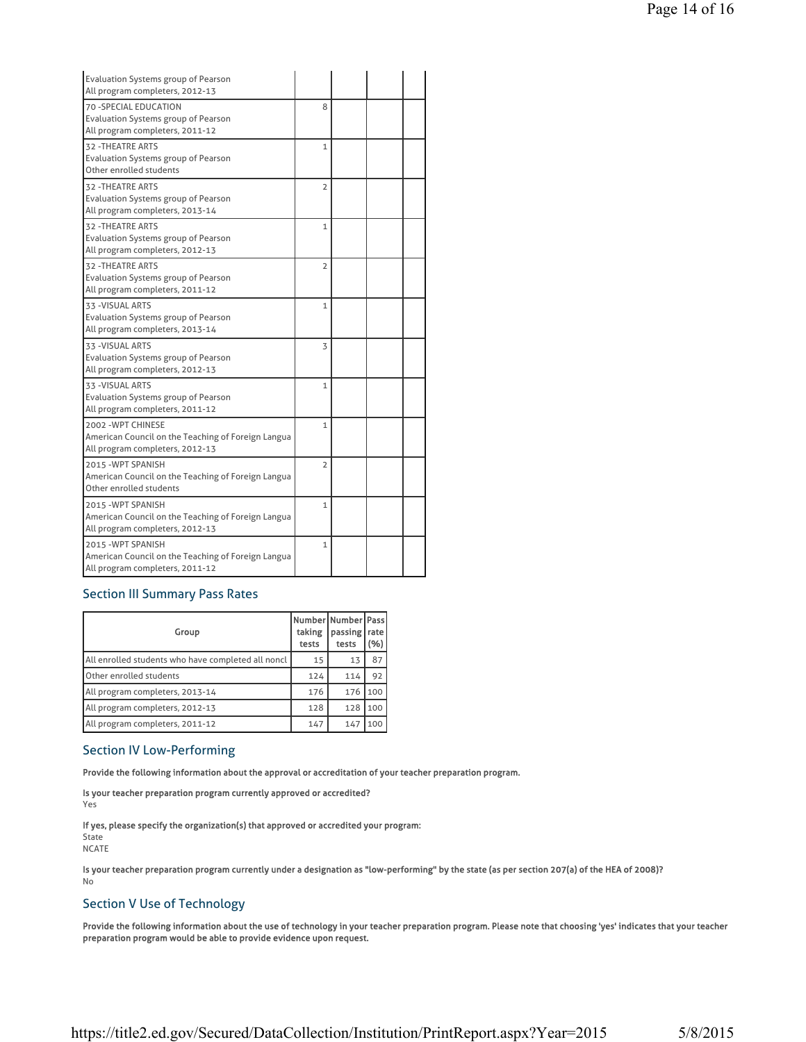| <b>Evaluation Systems group of Pearson</b><br>All program completers, 2012-13                               |                |  |  |
|-------------------------------------------------------------------------------------------------------------|----------------|--|--|
| 70 - SPECIAL EDUCATION<br>Evaluation Systems group of Pearson<br>All program completers, 2011-12            | 8              |  |  |
| <b>32 - THEATRE ARTS</b><br><b>Evaluation Systems group of Pearson</b><br>Other enrolled students           | $\mathbf{1}$   |  |  |
| <b>32 - THEATRE ARTS</b><br><b>Evaluation Systems group of Pearson</b><br>All program completers, 2013-14   | $\overline{2}$ |  |  |
| <b>32 - THEATRE ARTS</b><br><b>Evaluation Systems group of Pearson</b><br>All program completers, 2012-13   | $\mathbf{1}$   |  |  |
| <b>32 - THEATRE ARTS</b><br><b>Evaluation Systems group of Pearson</b><br>All program completers, 2011-12   | $\overline{2}$ |  |  |
| 33 - VISUAL ARTS<br><b>Evaluation Systems group of Pearson</b><br>All program completers, 2013-14           | 1              |  |  |
| 33 - VISUAL ARTS<br><b>Evaluation Systems group of Pearson</b><br>All program completers, 2012-13           | 3              |  |  |
| 33 - VISUAL ARTS<br><b>Evaluation Systems group of Pearson</b><br>All program completers, 2011-12           | $\mathbf{1}$   |  |  |
| 2002 - WPT CHINESE<br>American Council on the Teaching of Foreign Langua<br>All program completers, 2012-13 | $\mathbf{1}$   |  |  |
| 2015 - WPT SPANISH<br>American Council on the Teaching of Foreign Langua<br>Other enrolled students         | $\overline{2}$ |  |  |
| 2015 - WPT SPANISH<br>American Council on the Teaching of Foreign Langua<br>All program completers, 2012-13 | $\mathbf{1}$   |  |  |
| 2015 - WPT SPANISH<br>American Council on the Teaching of Foreign Langua<br>All program completers, 2011-12 | $\mathbf{1}$   |  |  |

# Section III Summary Pass Rates

| Group                                              | Number Number Pass<br>taking<br>tests | passing<br>tests | rate<br>(%) |
|----------------------------------------------------|---------------------------------------|------------------|-------------|
| All enrolled students who have completed all noncl | 15                                    | 13               | 87          |
| Other enrolled students                            | 124                                   | 114              | 92          |
| All program completers, 2013-14                    | 176                                   | 176              | 100         |
| All program completers, 2012-13                    | 128                                   | 128              | 100         |
| All program completers, 2011-12                    | 147                                   | 147              | 100         |

# Section IV Low-Performing

Provide the following information about the approval or accreditation of your teacher preparation program.

Is your teacher preparation program currently approved or accredited? Yes

If yes, please specify the organization(s) that approved or accredited your program:

State NCATE

Is your teacher preparation program currently under a designation as "low-performing" by the state (as per section 207(a) of the HEA of 2008)? No

# Section V Use of Technology

Provide the following information about the use of technology in your teacher preparation program. Please note that choosing 'yes' indicates that your teacher preparation program would be able to provide evidence upon request.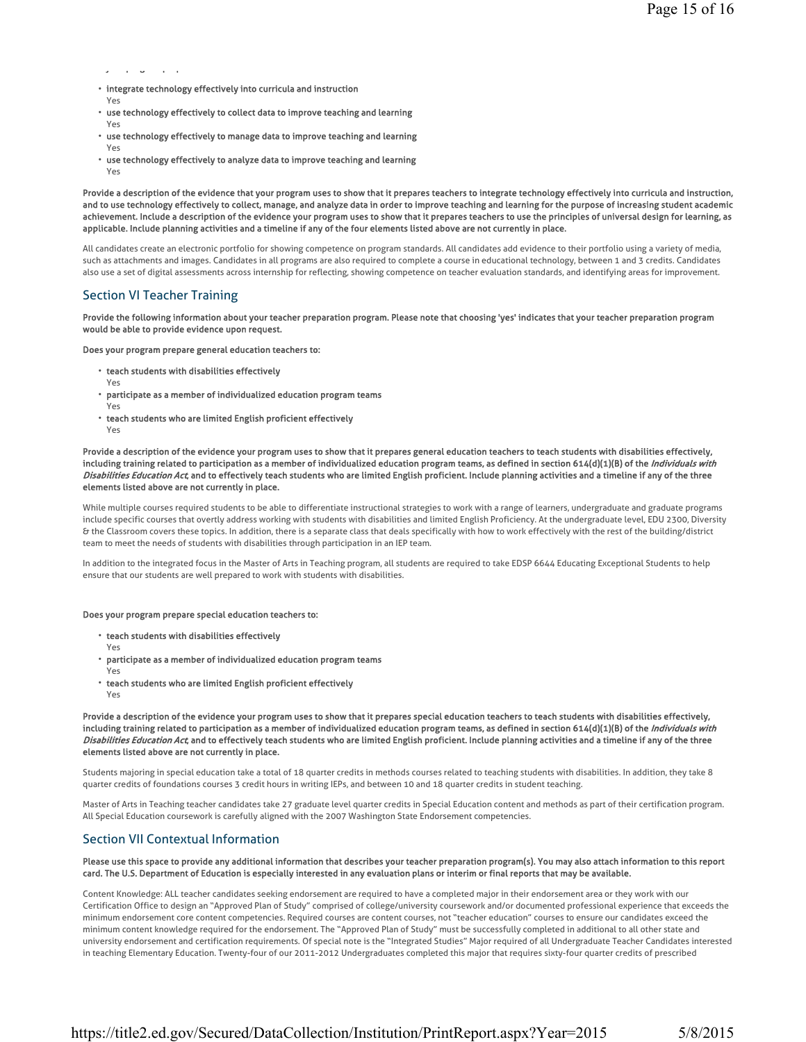y pg pp

- integrate technology effectively into curricula and instruction
- Yes Yes
- use technology effectively to collect data to improve teaching and learning
- use technology effectively to manage data to improve teaching and learning
- Yes • use technology effectively to analyze data to improve teaching and learning
	- Yes

Provide a description of the evidence that your program uses to show that it prepares teachers to integrate technology effectively into curricula and instruction, and to use technology effectively to collect, manage, and analyze data in order to improve teaching and learning for the purpose of increasing student academic achievement. Include a description of the evidence your program uses to show that it prepares teachers to use the principles of universal design for learning, as applicable. Include planning activities and a timeline if any of the four elements listed above are not currently in place.

All candidates create an electronic portfolio for showing competence on program standards. All candidates add evidence to their portfolio using a variety of media, such as attachments and images. Candidates in all programs are also required to complete a course in educational technology, between 1 and 3 credits. Candidates also use a set of digital assessments across internship for reflecting, showing competence on teacher evaluation standards, and identifying areas for improvement.

# Section VI Teacher Training

Provide the following information about your teacher preparation program. Please note that choosing 'yes' indicates that your teacher preparation program would be able to provide evidence upon request.

Does your program prepare general education teachers to:

- teach students with disabilities effectively
- Yes
- participate as a member of individualized education program teams
- Yes
- teach students who are limited English proficient effectively
- Yes

Provide a description of the evidence your program uses to show that it prepares general education teachers to teach students with disabilities effectively, including training related to participation as a member of individualized education program teams, as defined in section 614(d)(1)(B) of the Individuals with Disabilities Education Act, and to effectively teach students who are limited English proficient. Include planning activities and a timeline if any of the three elements listed above are not currently in place.

While multiple courses required students to be able to differentiate instructional strategies to work with a range of learners, undergraduate and graduate programs include specific courses that overtly address working with students with disabilities and limited English Proficiency. At the undergraduate level, EDU 2300, Diversity & the Classroom covers these topics. In addition, there is a separate class that deals specifically with how to work effectively with the rest of the building/district team to meet the needs of students with disabilities through participation in an IEP team.

In addition to the integrated focus in the Master of Arts in Teaching program, all students are required to take EDSP 6644 Educating Exceptional Students to help ensure that our students are well prepared to work with students with disabilities.

#### Does your program prepare special education teachers to:

- teach students with disabilities effectively
- Yes Yes
- participate as a member of individualized education program teams
- teach students who are limited English proficient effectively
- Yes

Provide a description of the evidence your program uses to show that it prepares special education teachers to teach students with disabilities effectively, including training related to participation as a member of individualized education program teams, as defined in section 614(d)(1)(B) of the *Individuals with* Disabilities Education Act, and to effectively teach students who are limited English proficient. Include planning activities and a timeline if any of the three elements listed above are not currently in place.

Students majoring in special education take a total of 18 quarter credits in methods courses related to teaching students with disabilities. In addition, they take 8 quarter credits of foundations courses 3 credit hours in writing IEPs, and between 10 and 18 quarter credits in student teaching.

Master of Arts in Teaching teacher candidates take 27 graduate level quarter credits in Special Education content and methods as part of their certification program. All Special Education coursework is carefully aligned with the 2007 Washington State Endorsement competencies.

# Section VII Contextual Information

### Please use this space to provide any additional information that describes your teacher preparation program(s). You may also attach information to this report card. The U.S. Department of Education is especially interested in any evaluation plans or interim or final reports that may be available.

Content Knowledge: ALL teacher candidates seeking endorsement are required to have a completed major in their endorsement area or they work with our Certification Office to design an "Approved Plan of Study" comprised of college/university coursework and/or documented professional experience that exceeds the minimum endorsement core content competencies. Required courses are content courses, not "teacher education" courses to ensure our candidates exceed the minimum content knowledge required for the endorsement. The "Approved Plan of Study" must be successfully completed in additional to all other state and university endorsement and certification requirements. Of special note is the "Integrated Studies" Major required of all Undergraduate Teacher Candidates interested in teaching Elementary Education. Twenty-four of our 2011-2012 Undergraduates completed this major that requires sixty-four quarter credits of prescribed

https://title2.ed.gov/Secured/DataCollection/Institution/PrintReport.aspx?Year=2015 5/8/2015